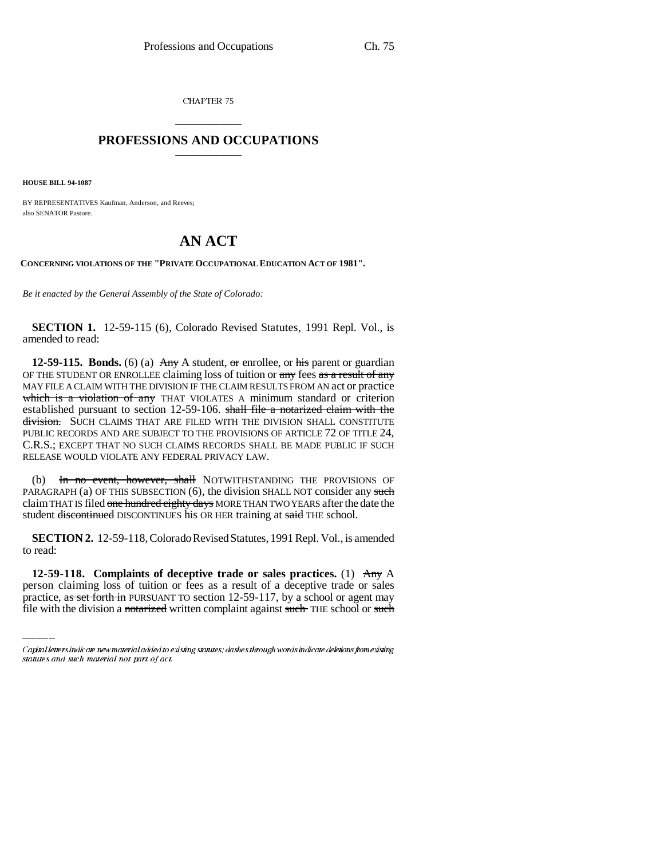CHAPTER 75

## \_\_\_\_\_\_\_\_\_\_\_\_\_\_\_ **PROFESSIONS AND OCCUPATIONS** \_\_\_\_\_\_\_\_\_\_\_\_\_\_\_

**HOUSE BILL 94-1087**

BY REPRESENTATIVES Kaufman, Anderson, and Reeves; also SENATOR Pastore.

## **AN ACT**

**CONCERNING VIOLATIONS OF THE "PRIVATE OCCUPATIONAL EDUCATION ACT OF 1981".**

*Be it enacted by the General Assembly of the State of Colorado:*

**SECTION 1.** 12-59-115 (6), Colorado Revised Statutes, 1991 Repl. Vol., is amended to read:

**12-59-115. Bonds.** (6) (a)  $\overrightarrow{Any}$  A student,  $\overrightarrow{or}$  enrollee, or his parent or guardian OF THE STUDENT OR ENROLLEE claiming loss of tuition or any fees as a result of any MAY FILE A CLAIM WITH THE DIVISION IF THE CLAIM RESULTS FROM AN act or practice which is a violation of any THAT VIOLATES A minimum standard or criterion established pursuant to section 12-59-106. shall file a notarized claim with the division. SUCH CLAIMS THAT ARE FILED WITH THE DIVISION SHALL CONSTITUTE PUBLIC RECORDS AND ARE SUBJECT TO THE PROVISIONS OF ARTICLE 72 OF TITLE 24, C.R.S.; EXCEPT THAT NO SUCH CLAIMS RECORDS SHALL BE MADE PUBLIC IF SUCH RELEASE WOULD VIOLATE ANY FEDERAL PRIVACY LAW.

(b) In no event, however, shall NOTWITHSTANDING THE PROVISIONS OF PARAGRAPH (a) OF THIS SUBSECTION  $(6)$ , the division SHALL NOT consider any such claim THAT IS filed one hundred eighty days MORE THAN TWO YEARS after the date the student <del>discontinued</del> DISCONTINUES his OR HER training at said THE school.

to read: **SECTION 2.** 12-59-118, Colorado Revised Statutes, 1991 Repl. Vol., is amended

**12-59-118. Complaints of deceptive trade or sales practices.** (1) Any A person claiming loss of tuition or fees as a result of a deceptive trade or sales practice, as set forth in PURSUANT TO section 12-59-117, by a school or agent may file with the division a notarized written complaint against such THE school or such

Capital letters indicate new material added to existing statutes; dashes through words indicate deletions from existing statutes and such material not part of act.